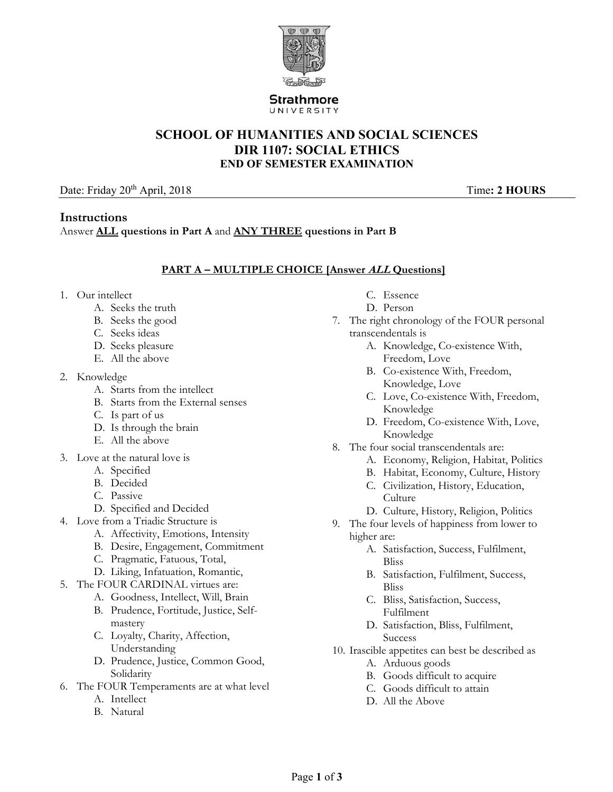

# **SCHOOL OF HUMANITIES AND SOCIAL SCIENCES DIR 1107: SOCIAL ETHICS END OF SEMESTER EXAMINATION**

## Date: Friday 20<sup>th</sup> April, 2018 Time: 2 HOURS

## **Instructions**

Answer **ALL questions in Part A** and **ANY THREE questions in Part B** 

## **PART A – MULTIPLE CHOICE [Answer ALL Questions]**

- 1. Our intellect
	- A. Seeks the truth
	- B. Seeks the good
	- C. Seeks ideas
	- D. Seeks pleasure
	- E. All the above
- 2. Knowledge
	- A. Starts from the intellect
	- B. Starts from the External senses
	- C. Is part of us
	- D. Is through the brain
	- E. All the above
- 3. Love at the natural love is
	- A. Specified
	- B. Decided
	- C. Passive
	- D. Specified and Decided
- 4. Love from a Triadic Structure is
	- A. Affectivity, Emotions, Intensity
	- B. Desire, Engagement, Commitment
	- C. Pragmatic, Fatuous, Total,
	- D. Liking, Infatuation, Romantic,
- 5. The FOUR CARDINAL virtues are:
	- A. Goodness, Intellect, Will, Brain
	- B. Prudence, Fortitude, Justice, Selfmastery
	- C. Loyalty, Charity, Affection, Understanding
	- D. Prudence, Justice, Common Good, Solidarity
- 6. The FOUR Temperaments are at what level
	- A. Intellect
	- B. Natural
- C. Essence
- D. Person
- 7. The right chronology of the FOUR personal transcendentals is
	- A. Knowledge, Co-existence With, Freedom, Love
	- B. Co-existence With, Freedom, Knowledge, Love
	- C. Love, Co-existence With, Freedom, Knowledge
	- D. Freedom, Co-existence With, Love, Knowledge
- 8. The four social transcendentals are:
	- A. Economy, Religion, Habitat, Politics
	- B. Habitat, Economy, Culture, History
	- C. Civilization, History, Education, Culture
	- D. Culture, History, Religion, Politics
- 9. The four levels of happiness from lower to higher are:
	- A. Satisfaction, Success, Fulfilment, Bliss
	- B. Satisfaction, Fulfilment, Success, Bliss
	- C. Bliss, Satisfaction, Success, Fulfilment
	- D. Satisfaction, Bliss, Fulfilment, Success
- 10. Irascible appetites can best be described as
	- A. Arduous goods
	- B. Goods difficult to acquire
	- C. Goods difficult to attain
	- D. All the Above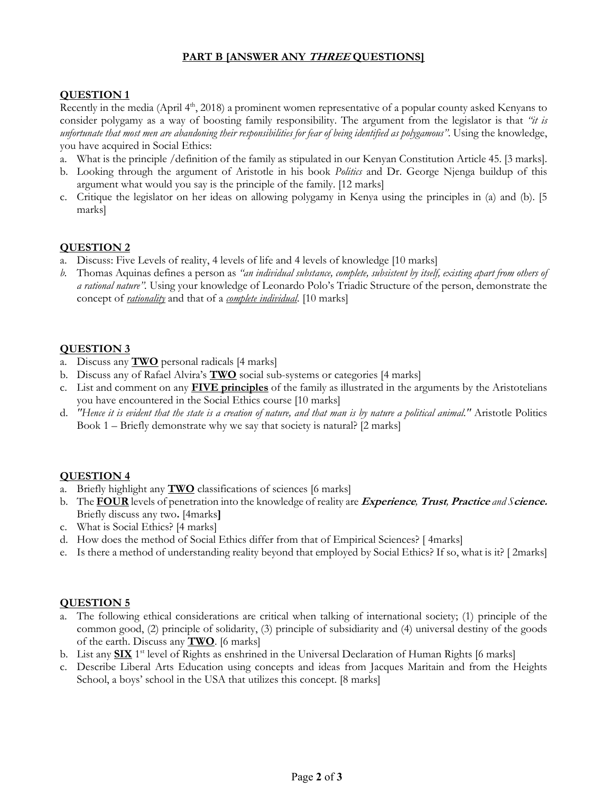## **PART B [ANSWER ANY THREE QUESTIONS]**

## **QUESTION 1**

Recently in the media (April  $4<sup>th</sup>$ , 2018) a prominent women representative of a popular county asked Kenyans to consider polygamy as a way of boosting family responsibility. The argument from the legislator is that *"it is unfortunate that most men are abandoning their responsibilities for fear of being identified as polygamous"*. Using the knowledge, you have acquired in Social Ethics:

- a. What is the principle /definition of the family as stipulated in our Kenyan Constitution Article 45. [3 marks].
- b. Looking through the argument of Aristotle in his book *Politics* and Dr. George Njenga buildup of this argument what would you say is the principle of the family. [12 marks]
- c. Critique the legislator on her ideas on allowing polygamy in Kenya using the principles in (a) and (b). [5 marks]

## **QUESTION 2**

- a. Discuss: Five Levels of reality, 4 levels of life and 4 levels of knowledge [10 marks]
- *b.* Thomas Aquinas defines a person as *"an individual substance, complete, subsistent by itself, existing apart from others of a rational nature".* Using your knowledge of Leonardo Polo's Triadic Structure of the person, demonstrate the concept of *rationality* and that of a *complete individual*. [10 marks]

## **QUESTION 3**

- a. Discuss any **TWO** personal radicals [4 marks]
- b. Discuss any of Rafael Alvira's **TWO** social sub-systems or categories [4 marks]
- c. List and comment on any **FIVE principles** of the family as illustrated in the arguments by the Aristotelians you have encountered in the Social Ethics course [10 marks]
- d. *"Hence it is evident that the state is a creation of nature, and that man is by nature a political animal."* Aristotle Politics Book 1 *–* Briefly demonstrate why we say that society is natural? [2 marks]

#### **QUESTION 4**

- a. Briefly highlight any **TWO** classifications of sciences [6 marks]
- b. The **FOUR** levels of penetration into the knowledge of reality are **Experience***,* **Trust***,* **Practice** *and S***cience.** Briefly discuss any two**.** [4marks**]**
- c. What is Social Ethics? [4 marks]
- d. How does the method of Social Ethics differ from that of Empirical Sciences? [ 4marks]
- e. Is there a method of understanding reality beyond that employed by Social Ethics? If so, what is it? [ 2marks]

#### **QUESTION 5**

- a. The following ethical considerations are critical when talking of international society; (1) principle of the common good, (2) principle of solidarity, (3) principle of subsidiarity and (4) universal destiny of the goods of the earth. Discuss any **TWO**. [6 marks]
- b. List any **SIX** 1<sup>st</sup> level of Rights as enshrined in the Universal Declaration of Human Rights [6 marks]
- c. Describe Liberal Arts Education using concepts and ideas from Jacques Maritain and from the Heights School, a boys' school in the USA that utilizes this concept. [8 marks]